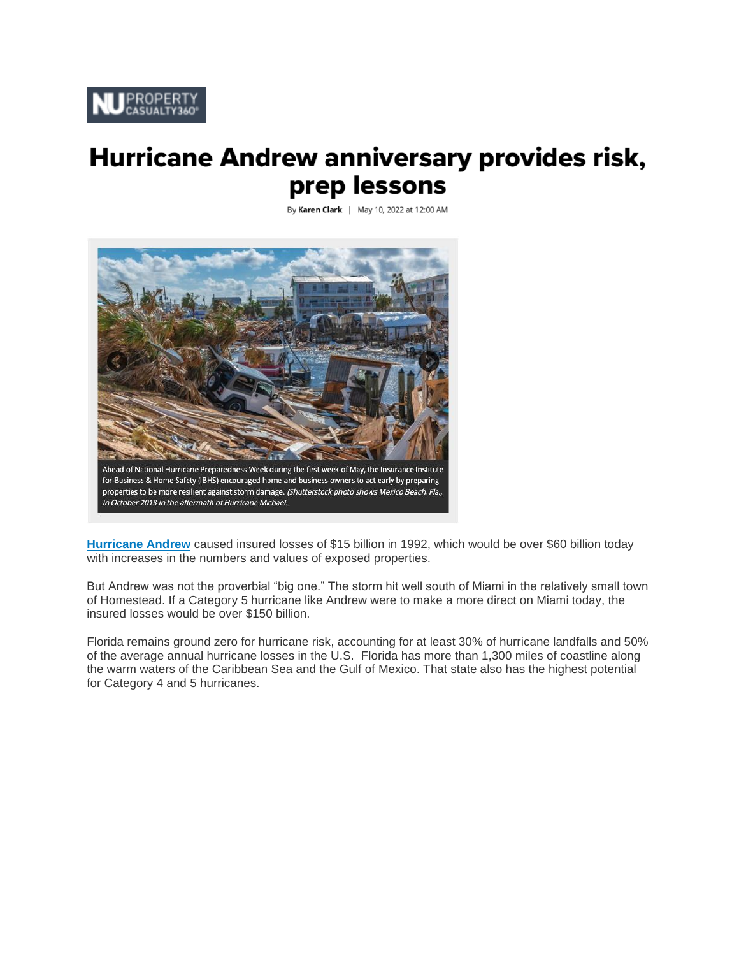

# **Hurricane Andrew anniversary provides risk,** prep lessons

By Karen Clark | May 10, 2022 at 12:00 AM



**[Hurricane Andrew](https://www.propertycasualty360.com/2021/08/30/how-hurricane-andrew-helped-shaped-the-claims-industry/)** caused insured losses of \$15 billion in 1992, which would be over \$60 billion today with increases in the numbers and values of exposed properties.

But Andrew was not the proverbial "big one." The storm hit well south of Miami in the relatively small town of Homestead. If a Category 5 hurricane like Andrew were to make a more direct on Miami today, the insured losses would be over \$150 billion.

Florida remains ground zero for hurricane risk, accounting for at least 30% of hurricane landfalls and 50% of the average annual hurricane losses in the U.S. Florida has more than 1,300 miles of coastline along the warm waters of the Caribbean Sea and the Gulf of Mexico. That state also has the highest potential for Category 4 and 5 hurricanes.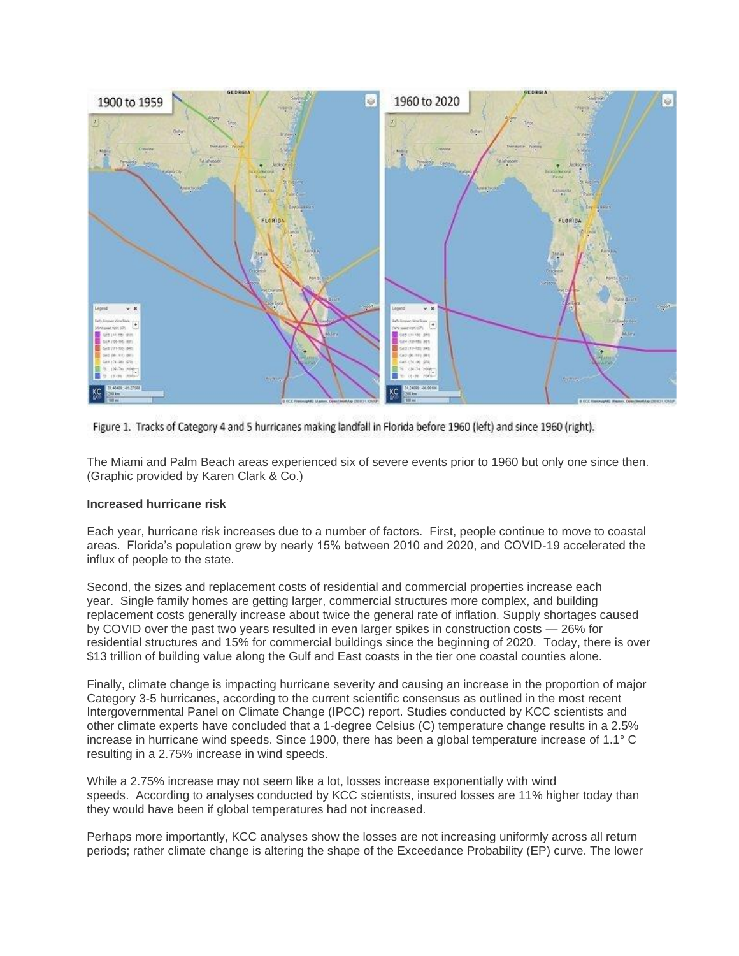

Figure 1. Tracks of Category 4 and 5 hurricanes making landfall in Florida before 1960 (left) and since 1960 (right).

The Miami and Palm Beach areas experienced six of severe events prior to 1960 but only one since then. (Graphic provided by Karen Clark & Co.)

## **Increased hurricane risk**

Each year, hurricane risk increases due to a number of factors. First, people continue to move to coastal areas. Florida's population grew by nearly 15% between 2010 and 2020, and COVID-19 accelerated the influx of people to the state.

Second, the sizes and replacement costs of residential and commercial properties increase each year. Single family homes are getting larger, commercial structures more complex, and building replacement costs generally increase about twice the general rate of inflation. Supply shortages caused by COVID over the past two years resulted in even larger spikes in construction costs — 26% for residential structures and 15% for commercial buildings since the beginning of 2020. Today, there is over \$13 trillion of building value along the Gulf and East coasts in the tier one coastal counties alone.

Finally, climate change is impacting hurricane severity and causing an increase in the proportion of major Category 3-5 hurricanes, according to the current scientific consensus as outlined in the most recent Intergovernmental Panel on Climate Change (IPCC) report. Studies conducted by KCC scientists and other climate experts have concluded that a 1-degree Celsius (C) temperature change results in a 2.5% increase in hurricane wind speeds. Since 1900, there has been a global temperature increase of 1.1° C resulting in a 2.75% increase in wind speeds.

While a 2.75% increase may not seem like a lot, losses increase exponentially with wind speeds. According to analyses conducted by KCC scientists, insured losses are 11% higher today than they would have been if global temperatures had not increased.

Perhaps more importantly, KCC analyses show the losses are not increasing uniformly across all return periods; rather climate change is altering the shape of the Exceedance Probability (EP) curve. The lower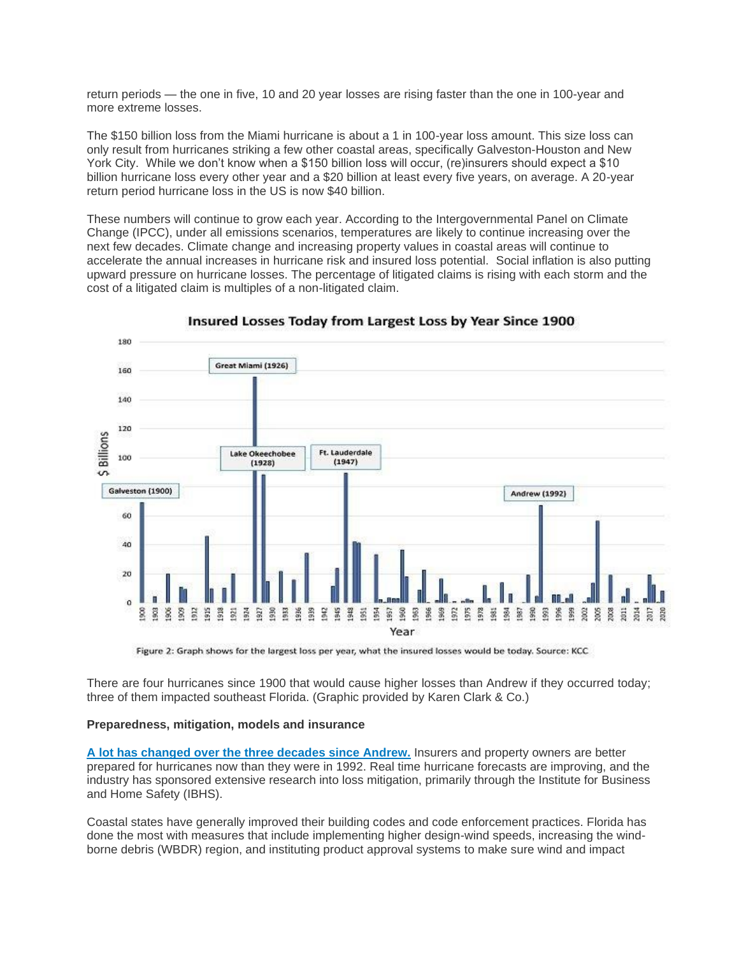return periods — the one in five, 10 and 20 year losses are rising faster than the one in 100-year and more extreme losses.

The \$150 billion loss from the Miami hurricane is about a 1 in 100-year loss amount. This size loss can only result from hurricanes striking a few other coastal areas, specifically Galveston-Houston and New York City. While we don't know when a \$150 billion loss will occur, (re)insurers should expect a \$10 billion hurricane loss every other year and a \$20 billion at least every five years, on average. A 20-year return period hurricane loss in the US is now \$40 billion.

These numbers will continue to grow each year. According to the Intergovernmental Panel on Climate Change (IPCC), under all emissions scenarios, temperatures are likely to continue increasing over the next few decades. Climate change and increasing property values in coastal areas will continue to accelerate the annual increases in hurricane risk and insured loss potential. Social inflation is also putting upward pressure on hurricane losses. The percentage of litigated claims is rising with each storm and the cost of a litigated claim is multiples of a non-litigated claim.



Insured Losses Today from Largest Loss by Year Since 1900

Figure 2: Graph shows for the largest loss per year, what the insured losses would be today. Source: KCC

There are four hurricanes since 1900 that would cause higher losses than Andrew if they occurred today; three of them impacted southeast Florida. (Graphic provided by Karen Clark & Co.)

# **Preparedness, mitigation, models and insurance**

**[A lot has changed over the three decades since Andrew.](https://www.propertycasualty360.com/2017/08/18/what-if-hurricane-andrew-happened-today/)** Insurers and property owners are better prepared for hurricanes now than they were in 1992. Real time hurricane forecasts are improving, and the industry has sponsored extensive research into loss mitigation, primarily through the Institute for Business and Home Safety (IBHS).

Coastal states have generally improved their building codes and code enforcement practices. Florida has done the most with measures that include implementing higher design-wind speeds, increasing the windborne debris (WBDR) region, and instituting product approval systems to make sure wind and impact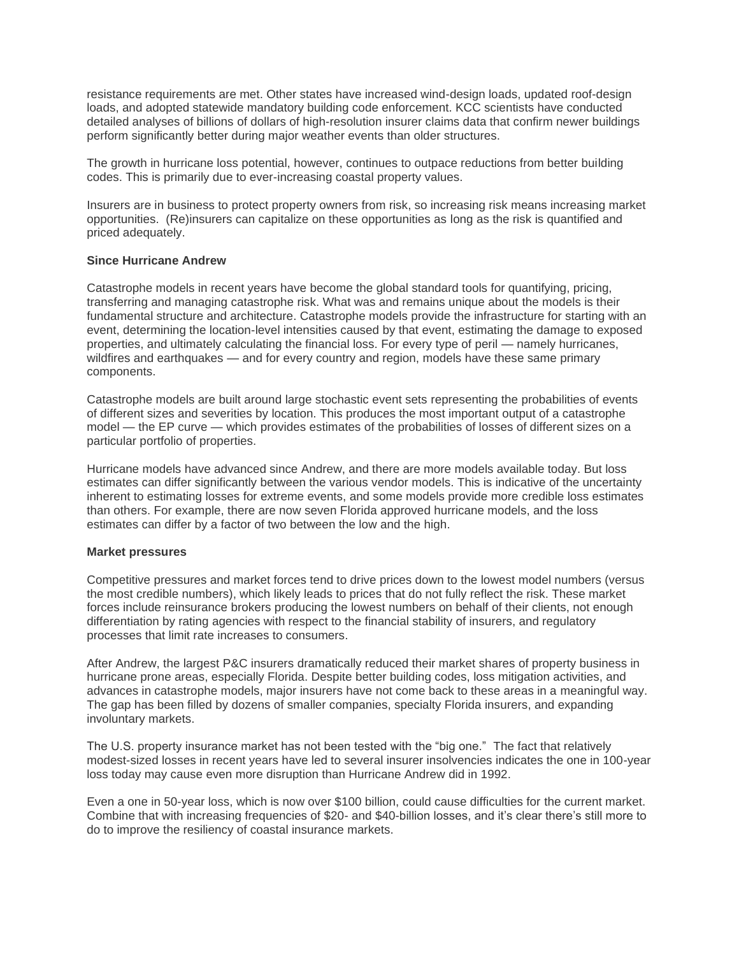resistance requirements are met. Other states have increased wind-design loads, updated roof-design loads, and adopted statewide mandatory building code enforcement. KCC scientists have conducted detailed analyses of billions of dollars of high-resolution insurer claims data that confirm newer buildings perform significantly better during major weather events than older structures.

The growth in hurricane loss potential, however, continues to outpace reductions from better building codes. This is primarily due to ever-increasing coastal property values.

Insurers are in business to protect property owners from risk, so increasing risk means increasing market opportunities. (Re)insurers can capitalize on these opportunities as long as the risk is quantified and priced adequately.

#### **Since Hurricane Andrew**

Catastrophe models in recent years have become the global standard tools for quantifying, pricing, transferring and managing catastrophe risk. What was and remains unique about the models is their fundamental structure and architecture. Catastrophe models provide the infrastructure for starting with an event, determining the location-level intensities caused by that event, estimating the damage to exposed properties, and ultimately calculating the financial loss. For every type of peril — namely hurricanes, wildfires and earthquakes — and for every country and region, models have these same primary components.

Catastrophe models are built around large stochastic event sets representing the probabilities of events of different sizes and severities by location. This produces the most important output of a catastrophe model — the EP curve — which provides estimates of the probabilities of losses of different sizes on a particular portfolio of properties.

Hurricane models have advanced since Andrew, and there are more models available today. But loss estimates can differ significantly between the various vendor models. This is indicative of the uncertainty inherent to estimating losses for extreme events, and some models provide more credible loss estimates than others. For example, there are now seven Florida approved hurricane models, and the loss estimates can differ by a factor of two between the low and the high.

## **Market pressures**

Competitive pressures and market forces tend to drive prices down to the lowest model numbers (versus the most credible numbers), which likely leads to prices that do not fully reflect the risk. These market forces include reinsurance brokers producing the lowest numbers on behalf of their clients, not enough differentiation by rating agencies with respect to the financial stability of insurers, and regulatory processes that limit rate increases to consumers.

After Andrew, the largest P&C insurers dramatically reduced their market shares of property business in hurricane prone areas, especially Florida. Despite better building codes, loss mitigation activities, and advances in catastrophe models, major insurers have not come back to these areas in a meaningful way. The gap has been filled by dozens of smaller companies, specialty Florida insurers, and expanding involuntary markets.

The U.S. property insurance market has not been tested with the "big one." The fact that relatively modest-sized losses in recent years have led to several insurer insolvencies indicates the one in 100-year loss today may cause even more disruption than Hurricane Andrew did in 1992.

Even a one in 50-year loss, which is now over \$100 billion, could cause difficulties for the current market. Combine that with increasing frequencies of \$20- and \$40-billion losses, and it's clear there's still more to do to improve the resiliency of coastal insurance markets.